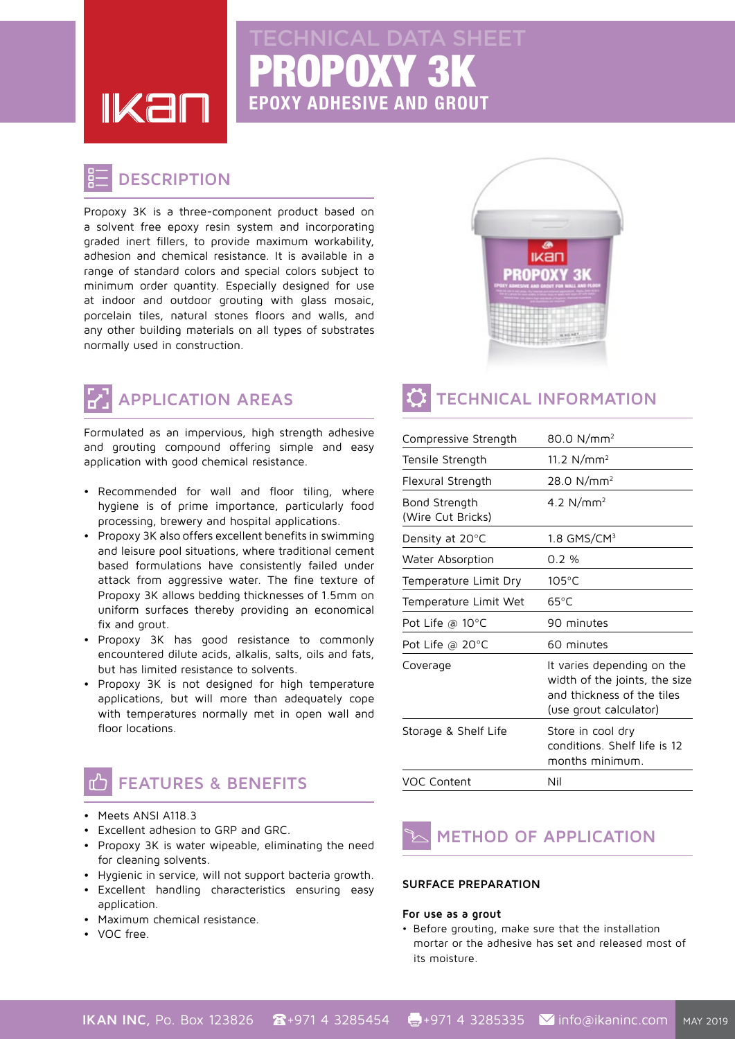**IKal** 

# PROPOXY 3K **EPOXY ADHESIVE AND GROUT** AL DATA SI

### **DESCRIPTION**

Propoxy 3K is a three-component product based on a solvent free epoxy resin system and incorporating graded inert fillers, to provide maximum workability, adhesion and chemical resistance. It is available in a range of standard colors and special colors subject to minimum order quantity. Especially designed for use at indoor and outdoor grouting with glass mosaic, porcelain tiles, natural stones floors and walls, and any other building materials on all types of substrates normally used in construction.

# **APPLICATION AREAS**

Formulated as an impervious, high strength adhesive and grouting compound offering simple and easy application with good chemical resistance.

- Recommended for wall and floor tiling, where hygiene is of prime importance, particularly food processing, brewery and hospital applications.
- Propoxy 3K also offers excellent benefits in swimming and leisure pool situations, where traditional cement based formulations have consistently failed under attack from aggressive water. The fine texture of Propoxy 3K allows bedding thicknesses of 1.5mm on uniform surfaces thereby providing an economical fix and grout.
- Propoxy 3K has good resistance to commonly encountered dilute acids, alkalis, salts, oils and fats, but has limited resistance to solvents.
- Propoxy 3K is not designed for high temperature applications, but will more than adequately cope with temperatures normally met in open wall and floor locations.

### **FEATURES & BENEFITS**

- Meets ANSI A118.3
- Excellent adhesion to GRP and GRC.
- Propoxy 3K is water wipeable, eliminating the need for cleaning solvents.
- Hygienic in service, will not support bacteria growth.
- **•** Excellent handling characteristics ensuring easy application.
- Maximum chemical resistance.
- VOC free.



## **TECHNICAL INFORMATION**

| Compressive Strength               | 80.0 N/mm <sup>2</sup>                                                                                              |
|------------------------------------|---------------------------------------------------------------------------------------------------------------------|
| Tensile Strength                   | 11.2 $N/mm2$                                                                                                        |
| Flexural Strength                  | 28.0 N/mm <sup>2</sup>                                                                                              |
| Bond Strength<br>(Wire Cut Bricks) | 4.2 $N/mm^2$                                                                                                        |
| Density at $20^{\circ}$ C          | $1.8$ GMS/CM $3$                                                                                                    |
| Water Absorption                   | 0.2%                                                                                                                |
| Temperature Limit Dry              | $105^{\circ}$ C                                                                                                     |
| Temperature Limit Wet              | $65^{\circ}$ C                                                                                                      |
| Pot Life @ $10^{\circ}$ C          | 90 minutes                                                                                                          |
| Pot Life @ 20°C                    | 60 minutes                                                                                                          |
| Coverage                           | It varies depending on the<br>width of the joints, the size<br>and thickness of the tiles<br>(use grout calculator) |
| Storage & Shelf Life               | Store in cool dry<br>conditions. Shelf life is 12<br>months minimum.                                                |
| <b>VOC Content</b>                 | Nil                                                                                                                 |

### **METHOD OF APPLICATION**

### **SURFACE PREPARATION**

#### For use as a grout

• Before grouting, make sure that the installation mortar or the adhesive has set and released most of its moisture